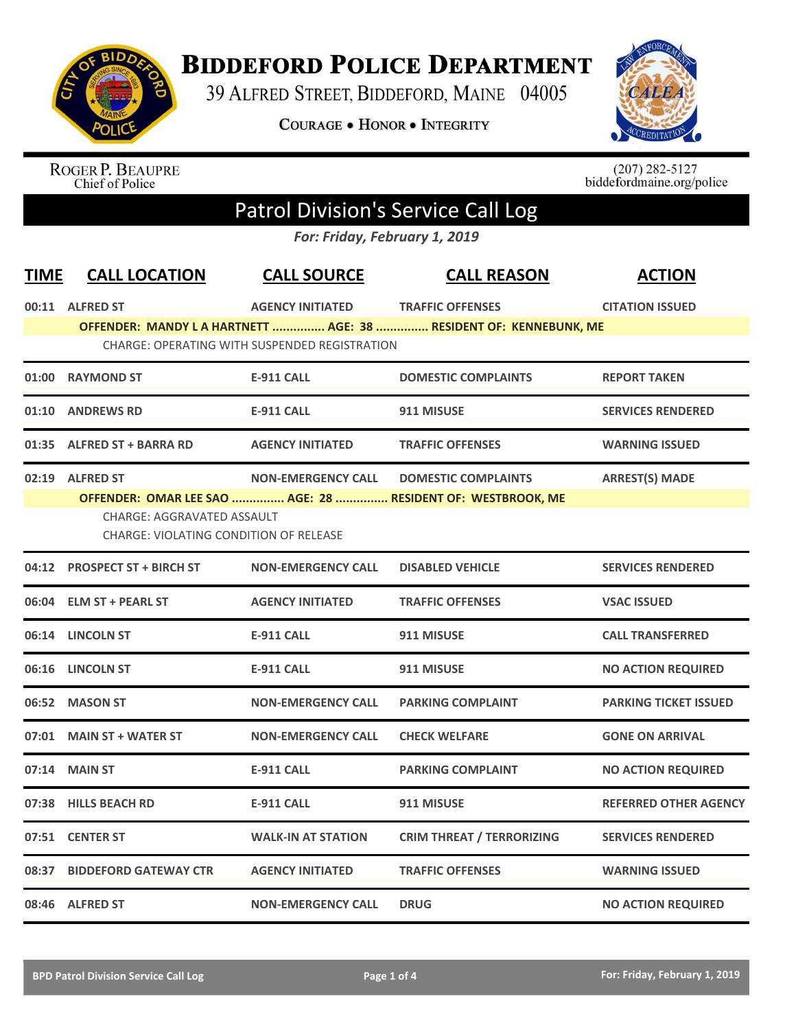

**BIDDEFORD POLICE DEPARTMENT** 

39 ALFRED STREET, BIDDEFORD, MAINE 04005

**COURAGE . HONOR . INTEGRITY** 



ROGER P. BEAUPRE<br>Chief of Police

 $(207)$  282-5127<br>biddefordmaine.org/police

## Patrol Division's Service Call Log

*For: Friday, February 1, 2019*

| <b>TIME</b> | <b>CALL LOCATION</b>                          | <b>CALL SOURCE</b>                            | <b>CALL REASON</b>                                               | <b>ACTION</b>                |
|-------------|-----------------------------------------------|-----------------------------------------------|------------------------------------------------------------------|------------------------------|
|             | 00:11 ALFRED ST                               | <b>AGENCY INITIATED</b>                       | <b>TRAFFIC OFFENSES</b>                                          | <b>CITATION ISSUED</b>       |
|             |                                               |                                               | OFFENDER: MANDY LA HARTNETT  AGE: 38  RESIDENT OF: KENNEBUNK, ME |                              |
|             |                                               | CHARGE: OPERATING WITH SUSPENDED REGISTRATION |                                                                  |                              |
|             | 01:00 RAYMOND ST                              | <b>E-911 CALL</b>                             | <b>DOMESTIC COMPLAINTS</b>                                       | <b>REPORT TAKEN</b>          |
|             | 01:10 ANDREWS RD                              | <b>E-911 CALL</b>                             | 911 MISUSE                                                       | <b>SERVICES RENDERED</b>     |
|             | 01:35 ALFRED ST + BARRA RD                    | <b>AGENCY INITIATED</b>                       | <b>TRAFFIC OFFENSES</b>                                          | <b>WARNING ISSUED</b>        |
|             | 02:19 ALFRED ST                               | <b>NON-EMERGENCY CALL</b>                     | <b>DOMESTIC COMPLAINTS</b>                                       | <b>ARREST(S) MADE</b>        |
|             |                                               |                                               | OFFENDER: OMAR LEE SAO  AGE: 28  RESIDENT OF: WESTBROOK, ME      |                              |
|             | <b>CHARGE: AGGRAVATED ASSAULT</b>             |                                               |                                                                  |                              |
|             | <b>CHARGE: VIOLATING CONDITION OF RELEASE</b> |                                               |                                                                  |                              |
|             | 04:12 PROSPECT ST + BIRCH ST                  | <b>NON-EMERGENCY CALL</b>                     | <b>DISABLED VEHICLE</b>                                          | <b>SERVICES RENDERED</b>     |
|             | 06:04 ELM ST + PEARL ST                       | <b>AGENCY INITIATED</b>                       | <b>TRAFFIC OFFENSES</b>                                          | <b>VSAC ISSUED</b>           |
|             | 06:14 LINCOLN ST                              | <b>E-911 CALL</b>                             | 911 MISUSE                                                       | <b>CALL TRANSFERRED</b>      |
| 06:16       | <b>LINCOLN ST</b>                             | <b>E-911 CALL</b>                             | 911 MISUSE                                                       | <b>NO ACTION REQUIRED</b>    |
|             | 06:52 MASON ST                                | <b>NON-EMERGENCY CALL</b>                     | <b>PARKING COMPLAINT</b>                                         | <b>PARKING TICKET ISSUED</b> |
|             | 07:01 MAIN ST + WATER ST                      | <b>NON-EMERGENCY CALL</b>                     | <b>CHECK WELFARE</b>                                             | <b>GONE ON ARRIVAL</b>       |
| 07:14       | <b>MAIN ST</b>                                | <b>E-911 CALL</b>                             | <b>PARKING COMPLAINT</b>                                         | <b>NO ACTION REQUIRED</b>    |
| 07:38       | <b>HILLS BEACH RD</b>                         | <b>E-911 CALL</b>                             | 911 MISUSE                                                       | <b>REFERRED OTHER AGENCY</b> |
|             | 07:51 CENTER ST                               | <b>WALK-IN AT STATION</b>                     | <b>CRIM THREAT / TERRORIZING</b>                                 | <b>SERVICES RENDERED</b>     |
| 08:37       | <b>BIDDEFORD GATEWAY CTR</b>                  | <b>AGENCY INITIATED</b>                       | <b>TRAFFIC OFFENSES</b>                                          | <b>WARNING ISSUED</b>        |
|             | 08:46 ALFRED ST                               | <b>NON-EMERGENCY CALL</b>                     | <b>DRUG</b>                                                      | <b>NO ACTION REQUIRED</b>    |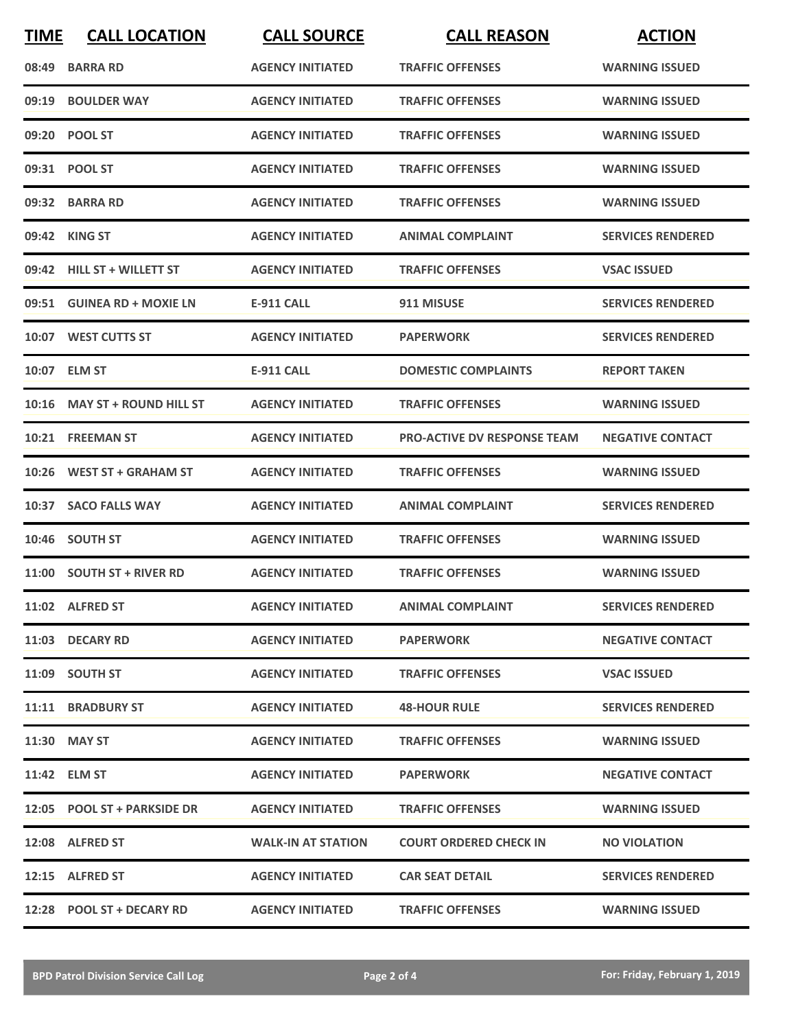| <b>TIME</b> | <b>CALL LOCATION</b>         | <b>CALL SOURCE</b>        | <b>CALL REASON</b>            | <b>ACTION</b>            |
|-------------|------------------------------|---------------------------|-------------------------------|--------------------------|
|             | 08:49 BARRA RD               | <b>AGENCY INITIATED</b>   | <b>TRAFFIC OFFENSES</b>       | <b>WARNING ISSUED</b>    |
| 09:19       | <b>BOULDER WAY</b>           | <b>AGENCY INITIATED</b>   | <b>TRAFFIC OFFENSES</b>       | <b>WARNING ISSUED</b>    |
|             | 09:20 POOL ST                | <b>AGENCY INITIATED</b>   | <b>TRAFFIC OFFENSES</b>       | <b>WARNING ISSUED</b>    |
|             | 09:31 POOL ST                | <b>AGENCY INITIATED</b>   | <b>TRAFFIC OFFENSES</b>       | <b>WARNING ISSUED</b>    |
|             | 09:32 BARRA RD               | <b>AGENCY INITIATED</b>   | <b>TRAFFIC OFFENSES</b>       | <b>WARNING ISSUED</b>    |
|             | 09:42 KING ST                | <b>AGENCY INITIATED</b>   | <b>ANIMAL COMPLAINT</b>       | <b>SERVICES RENDERED</b> |
|             | 09:42 HILL ST + WILLETT ST   | <b>AGENCY INITIATED</b>   | <b>TRAFFIC OFFENSES</b>       | <b>VSAC ISSUED</b>       |
|             | 09:51 GUINEA RD + MOXIE LN   | <b>E-911 CALL</b>         | 911 MISUSE                    | <b>SERVICES RENDERED</b> |
|             | 10:07 WEST CUTTS ST          | <b>AGENCY INITIATED</b>   | <b>PAPERWORK</b>              | <b>SERVICES RENDERED</b> |
|             | 10:07 ELM ST                 | <b>E-911 CALL</b>         | <b>DOMESTIC COMPLAINTS</b>    | <b>REPORT TAKEN</b>      |
|             | 10:16 MAY ST + ROUND HILL ST | <b>AGENCY INITIATED</b>   | <b>TRAFFIC OFFENSES</b>       | <b>WARNING ISSUED</b>    |
|             | 10:21 FREEMAN ST             | <b>AGENCY INITIATED</b>   | PRO-ACTIVE DV RESPONSE TEAM   | <b>NEGATIVE CONTACT</b>  |
| 10:26       | <b>WEST ST + GRAHAM ST</b>   | <b>AGENCY INITIATED</b>   | <b>TRAFFIC OFFENSES</b>       | <b>WARNING ISSUED</b>    |
|             | 10:37 SACO FALLS WAY         | <b>AGENCY INITIATED</b>   | <b>ANIMAL COMPLAINT</b>       | <b>SERVICES RENDERED</b> |
|             | 10:46 SOUTH ST               | <b>AGENCY INITIATED</b>   | <b>TRAFFIC OFFENSES</b>       | <b>WARNING ISSUED</b>    |
|             | 11:00 SOUTH ST + RIVER RD    | <b>AGENCY INITIATED</b>   | <b>TRAFFIC OFFENSES</b>       | <b>WARNING ISSUED</b>    |
|             | 11:02 ALFRED ST              | <b>AGENCY INITIATED</b>   | <b>ANIMAL COMPLAINT</b>       | <b>SERVICES RENDERED</b> |
|             | 11:03 DECARY RD              | <b>AGENCY INITIATED</b>   | <b>PAPERWORK</b>              | <b>NEGATIVE CONTACT</b>  |
|             | 11:09 SOUTH ST               | <b>AGENCY INITIATED</b>   | <b>TRAFFIC OFFENSES</b>       | <b>VSAC ISSUED</b>       |
|             | 11:11 BRADBURY ST            | <b>AGENCY INITIATED</b>   | <b>48-HOUR RULE</b>           | <b>SERVICES RENDERED</b> |
|             | 11:30 MAY ST                 | <b>AGENCY INITIATED</b>   | <b>TRAFFIC OFFENSES</b>       | <b>WARNING ISSUED</b>    |
|             | 11:42 ELM ST                 | <b>AGENCY INITIATED</b>   | <b>PAPERWORK</b>              | <b>NEGATIVE CONTACT</b>  |
|             | 12:05 POOL ST + PARKSIDE DR  | <b>AGENCY INITIATED</b>   | <b>TRAFFIC OFFENSES</b>       | <b>WARNING ISSUED</b>    |
|             | 12:08 ALFRED ST              | <b>WALK-IN AT STATION</b> | <b>COURT ORDERED CHECK IN</b> | <b>NO VIOLATION</b>      |
|             | 12:15 ALFRED ST              | <b>AGENCY INITIATED</b>   | <b>CAR SEAT DETAIL</b>        | <b>SERVICES RENDERED</b> |
|             | 12:28 POOL ST + DECARY RD    | <b>AGENCY INITIATED</b>   | <b>TRAFFIC OFFENSES</b>       | <b>WARNING ISSUED</b>    |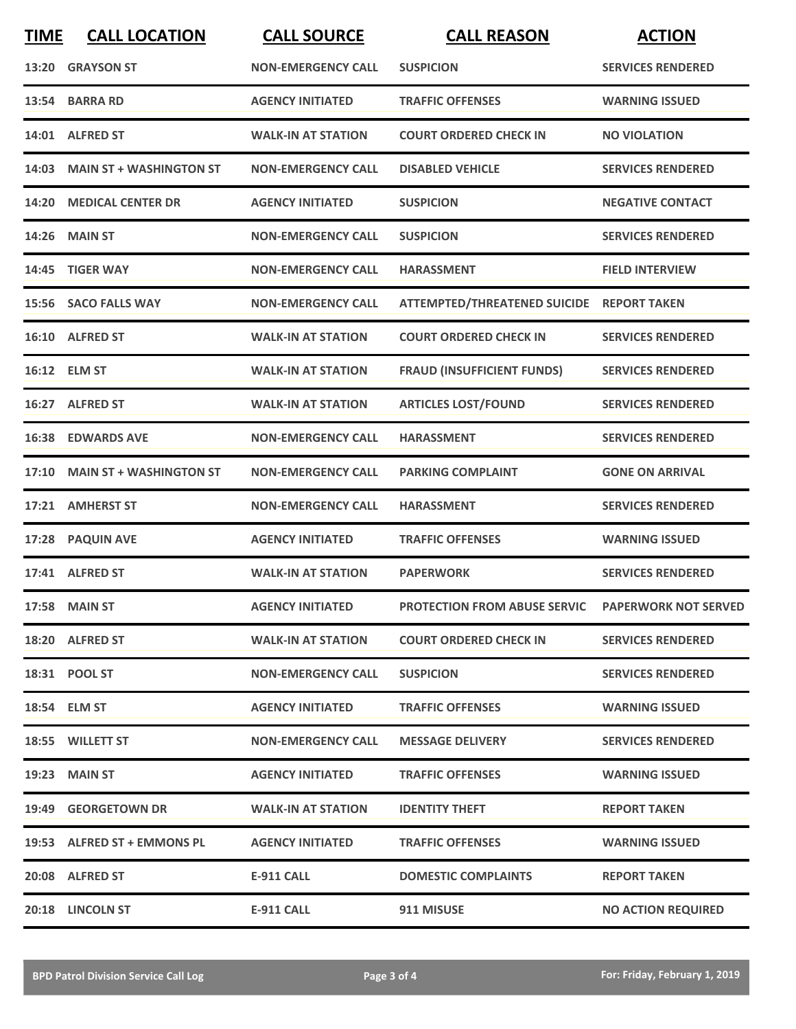| <b>TIME</b> | <b>CALL LOCATION</b>          | <b>CALL SOURCE</b>        | <b>CALL REASON</b>                                | <b>ACTION</b>             |
|-------------|-------------------------------|---------------------------|---------------------------------------------------|---------------------------|
|             | 13:20 GRAYSON ST              | <b>NON-EMERGENCY CALL</b> | <b>SUSPICION</b>                                  | <b>SERVICES RENDERED</b>  |
|             | 13:54 BARRA RD                | <b>AGENCY INITIATED</b>   | <b>TRAFFIC OFFENSES</b>                           | <b>WARNING ISSUED</b>     |
|             | 14:01 ALFRED ST               | <b>WALK-IN AT STATION</b> | <b>COURT ORDERED CHECK IN</b>                     | <b>NO VIOLATION</b>       |
|             | 14:03 MAIN ST + WASHINGTON ST | <b>NON-EMERGENCY CALL</b> | <b>DISABLED VEHICLE</b>                           | <b>SERVICES RENDERED</b>  |
|             | 14:20 MEDICAL CENTER DR       | <b>AGENCY INITIATED</b>   | <b>SUSPICION</b>                                  | <b>NEGATIVE CONTACT</b>   |
|             | <b>14:26 MAIN ST</b>          | <b>NON-EMERGENCY CALL</b> | <b>SUSPICION</b>                                  | <b>SERVICES RENDERED</b>  |
|             | 14:45 TIGER WAY               | <b>NON-EMERGENCY CALL</b> | <b>HARASSMENT</b>                                 | <b>FIELD INTERVIEW</b>    |
|             | 15:56 SACO FALLS WAY          | <b>NON-EMERGENCY CALL</b> | ATTEMPTED/THREATENED SUICIDE REPORT TAKEN         |                           |
|             | 16:10 ALFRED ST               | <b>WALK-IN AT STATION</b> | <b>COURT ORDERED CHECK IN</b>                     | <b>SERVICES RENDERED</b>  |
|             | 16:12 ELM ST                  | <b>WALK-IN AT STATION</b> | <b>FRAUD (INSUFFICIENT FUNDS)</b>                 | <b>SERVICES RENDERED</b>  |
|             | 16:27 ALFRED ST               | <b>WALK-IN AT STATION</b> | <b>ARTICLES LOST/FOUND</b>                        | <b>SERVICES RENDERED</b>  |
|             | <b>16:38 EDWARDS AVE</b>      | <b>NON-EMERGENCY CALL</b> | <b>HARASSMENT</b>                                 | <b>SERVICES RENDERED</b>  |
|             | 17:10 MAIN ST + WASHINGTON ST | <b>NON-EMERGENCY CALL</b> | <b>PARKING COMPLAINT</b>                          | <b>GONE ON ARRIVAL</b>    |
|             | 17:21 AMHERST ST              | <b>NON-EMERGENCY CALL</b> | <b>HARASSMENT</b>                                 | <b>SERVICES RENDERED</b>  |
|             | 17:28 PAQUIN AVE              | <b>AGENCY INITIATED</b>   | <b>TRAFFIC OFFENSES</b>                           | <b>WARNING ISSUED</b>     |
|             | 17:41 ALFRED ST               | <b>WALK-IN AT STATION</b> | <b>PAPERWORK</b>                                  | <b>SERVICES RENDERED</b>  |
|             | 17:58 MAIN ST                 | <b>AGENCY INITIATED</b>   | PROTECTION FROM ABUSE SERVIC PAPERWORK NOT SERVED |                           |
|             | 18:20 ALFRED ST               | <b>WALK-IN AT STATION</b> | <b>COURT ORDERED CHECK IN</b>                     | <b>SERVICES RENDERED</b>  |
|             | 18:31 POOL ST                 | <b>NON-EMERGENCY CALL</b> | <b>SUSPICION</b>                                  | <b>SERVICES RENDERED</b>  |
|             | 18:54 ELM ST                  | <b>AGENCY INITIATED</b>   | <b>TRAFFIC OFFENSES</b>                           | <b>WARNING ISSUED</b>     |
|             | 18:55 WILLETT ST              | <b>NON-EMERGENCY CALL</b> | <b>MESSAGE DELIVERY</b>                           | <b>SERVICES RENDERED</b>  |
|             | <b>19:23 MAIN ST</b>          | <b>AGENCY INITIATED</b>   | <b>TRAFFIC OFFENSES</b>                           | <b>WARNING ISSUED</b>     |
|             | 19:49 GEORGETOWN DR           | <b>WALK-IN AT STATION</b> | <b>IDENTITY THEFT</b>                             | <b>REPORT TAKEN</b>       |
|             | 19:53 ALFRED ST + EMMONS PL   | <b>AGENCY INITIATED</b>   | <b>TRAFFIC OFFENSES</b>                           | <b>WARNING ISSUED</b>     |
|             | 20:08 ALFRED ST               | <b>E-911 CALL</b>         | <b>DOMESTIC COMPLAINTS</b>                        | <b>REPORT TAKEN</b>       |
|             | 20:18 LINCOLN ST              | <b>E-911 CALL</b>         | 911 MISUSE                                        | <b>NO ACTION REQUIRED</b> |